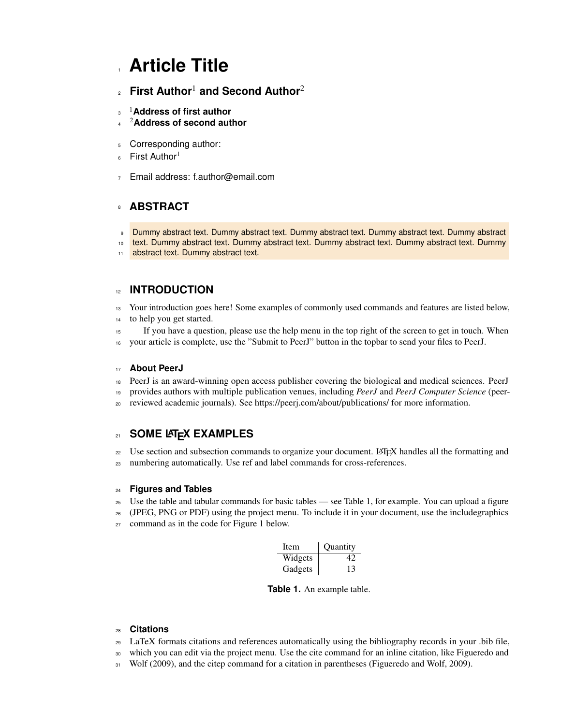# **Article Title**

- **First Author**<sup>1</sup> **and Second Author**<sup>2</sup>
- $_3$   $^{-1}$ Address of first author
- 2 **Address of second author**
- Corresponding author:
- First Author<sup>1</sup>
- Email address: f.author@email.com

# **ABSTRACT**

- Dummy abstract text. Dummy abstract text. Dummy abstract text. Dummy abstract text. Dummy abstract
- text. Dummy abstract text. Dummy abstract text. Dummy abstract text. Dummy abstract text. Dummy
- abstract text. Dummy abstract text.

# **INTRODUCTION**

 Your introduction goes here! Some examples of commonly used commands and features are listed below, to help you get started.

If you have a question, please use the help menu in the top right of the screen to get in touch. When

your article is complete, use the "Submit to PeerJ" button in the topbar to send your files to PeerJ.

## **About PeerJ**

- PeerJ is an award-winning open access publisher covering the biological and medical sciences. PeerJ
- provides authors with multiple publication venues, including *PeerJ* and *PeerJ Computer Science* (peer-
- reviewed academic journals). See https://peerj.com/about/publications/ for more information.

# **SOME LATEX EXAMPLES**

- <sup>22</sup> Use section and subsection commands to organize your document. LAT<sub>EX</sub> handles all the formatting and
- numbering automatically. Use ref and label commands for cross-references.

## **Figures and Tables**

- Use the table and tabular commands for basic tables see Table 1, for example. You can upload a figure
- (JPEG, PNG or PDF) using the project menu. To include it in your document, use the includegraphics
- command as in the code for Figure 1 below.

| Item    | <b>Ouantity</b> |
|---------|-----------------|
| Widgets | 42.             |
| Gadgets | 13              |

**Table 1.** An example table.

## **Citations**

- <sup>29</sup> LaTeX formats citations and references automatically using the bibliography records in your .bib file,
- which you can edit via the project menu. Use the cite command for an inline citation, like Figueredo and
- 31 Wolf (2009), and the citep command for a citation in parentheses (Figueredo and Wolf, 2009).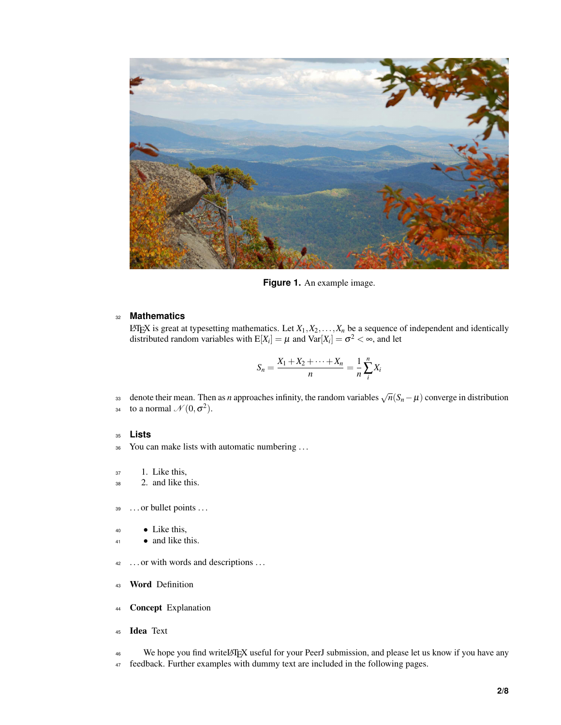

**Figure 1.** An example image.

#### <sup>32</sup> **Mathematics**

LATEX is great at typesetting mathematics. Let  $X_1, X_2, \ldots, X_n$  be a sequence of independent and identically distributed random variables with  $E[X_i] = \mu$  and  $Var[X_i] = \sigma^2 < \infty$ , and let

$$
S_n = \frac{X_1 + X_2 + \dots + X_n}{n} = \frac{1}{n} \sum_{i=1}^{n} X_i
$$

33 denote their mean. Then as *n* approaches infinity, the random variables  $\sqrt{n}(S_n - \mu)$  converge in distribution 34 to a normal  $\mathcal{N}(0, \sigma^2)$ .

#### <sup>35</sup> **Lists**

- <sup>36</sup> You can make lists with automatic numbering . . .
- <sup>37</sup> 1. Like this,
- <sup>38</sup> 2. and like this.
- <sup>39</sup> . . . or bullet points . . .
- <sup>40</sup> Like this,
- 41 and like this.
- <sup>42</sup> . . . or with words and descriptions . . .
- <sup>43</sup> Word Definition
- <sup>44</sup> Concept Explanation
- <sup>45</sup> Idea Text

<sup>46</sup> We hope you find writeLAT<sub>E</sub>X useful for your PeerJ submission, and please let us know if you have any<br><sup>47</sup> feedback. Further examples with dummy text are included in the following pages. feedback. Further examples with dummy text are included in the following pages.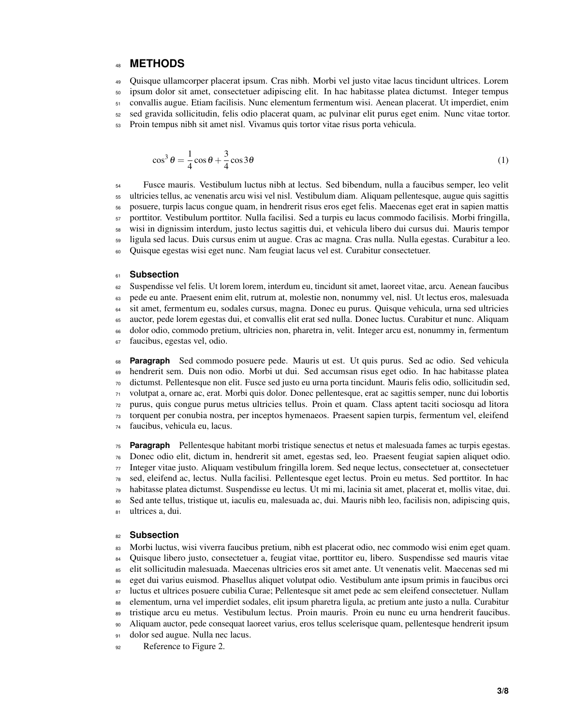## **METHODS**

Quisque ullamcorper placerat ipsum. Cras nibh. Morbi vel justo vitae lacus tincidunt ultrices. Lorem

ipsum dolor sit amet, consectetuer adipiscing elit. In hac habitasse platea dictumst. Integer tempus

convallis augue. Etiam facilisis. Nunc elementum fermentum wisi. Aenean placerat. Ut imperdiet, enim

sed gravida sollicitudin, felis odio placerat quam, ac pulvinar elit purus eget enim. Nunc vitae tortor.

Proin tempus nibh sit amet nisl. Vivamus quis tortor vitae risus porta vehicula.

$$
\cos^3 \theta = \frac{1}{4} \cos \theta + \frac{3}{4} \cos 3\theta \tag{1}
$$

 Fusce mauris. Vestibulum luctus nibh at lectus. Sed bibendum, nulla a faucibus semper, leo velit ultricies tellus, ac venenatis arcu wisi vel nisl. Vestibulum diam. Aliquam pellentesque, augue quis sagittis posuere, turpis lacus congue quam, in hendrerit risus eros eget felis. Maecenas eget erat in sapien mattis porttitor. Vestibulum porttitor. Nulla facilisi. Sed a turpis eu lacus commodo facilisis. Morbi fringilla, wisi in dignissim interdum, justo lectus sagittis dui, et vehicula libero dui cursus dui. Mauris tempor ligula sed lacus. Duis cursus enim ut augue. Cras ac magna. Cras nulla. Nulla egestas. Curabitur a leo. Quisque egestas wisi eget nunc. Nam feugiat lacus vel est. Curabitur consectetuer.

#### **Subsection**

 Suspendisse vel felis. Ut lorem lorem, interdum eu, tincidunt sit amet, laoreet vitae, arcu. Aenean faucibus pede eu ante. Praesent enim elit, rutrum at, molestie non, nonummy vel, nisl. Ut lectus eros, malesuada sit amet, fermentum eu, sodales cursus, magna. Donec eu purus. Quisque vehicula, urna sed ultricies auctor, pede lorem egestas dui, et convallis elit erat sed nulla. Donec luctus. Curabitur et nunc. Aliquam dolor odio, commodo pretium, ultricies non, pharetra in, velit. Integer arcu est, nonummy in, fermentum faucibus, egestas vel, odio.

 **Paragraph** Sed commodo posuere pede. Mauris ut est. Ut quis purus. Sed ac odio. Sed vehicula hendrerit sem. Duis non odio. Morbi ut dui. Sed accumsan risus eget odio. In hac habitasse platea dictumst. Pellentesque non elit. Fusce sed justo eu urna porta tincidunt. Mauris felis odio, sollicitudin sed, volutpat a, ornare ac, erat. Morbi quis dolor. Donec pellentesque, erat ac sagittis semper, nunc dui lobortis purus, quis congue purus metus ultricies tellus. Proin et quam. Class aptent taciti sociosqu ad litora torquent per conubia nostra, per inceptos hymenaeos. Praesent sapien turpis, fermentum vel, eleifend faucibus, vehicula eu, lacus.

 **Paragraph** Pellentesque habitant morbi tristique senectus et netus et malesuada fames ac turpis egestas. Donec odio elit, dictum in, hendrerit sit amet, egestas sed, leo. Praesent feugiat sapien aliquet odio. Integer vitae justo. Aliquam vestibulum fringilla lorem. Sed neque lectus, consectetuer at, consectetuer sed, eleifend ac, lectus. Nulla facilisi. Pellentesque eget lectus. Proin eu metus. Sed porttitor. In hac habitasse platea dictumst. Suspendisse eu lectus. Ut mi mi, lacinia sit amet, placerat et, mollis vitae, dui. Sed ante tellus, tristique ut, iaculis eu, malesuada ac, dui. Mauris nibh leo, facilisis non, adipiscing quis, 81 ultrices a, dui.

#### **Subsection**

83 Morbi luctus, wisi viverra faucibus pretium, nibh est placerat odio, nec commodo wisi enim eget quam. Quisque libero justo, consectetuer a, feugiat vitae, porttitor eu, libero. Suspendisse sed mauris vitae elit sollicitudin malesuada. Maecenas ultricies eros sit amet ante. Ut venenatis velit. Maecenas sed mi

eget dui varius euismod. Phasellus aliquet volutpat odio. Vestibulum ante ipsum primis in faucibus orci

luctus et ultrices posuere cubilia Curae; Pellentesque sit amet pede ac sem eleifend consectetuer. Nullam

- elementum, urna vel imperdiet sodales, elit ipsum pharetra ligula, ac pretium ante justo a nulla. Curabitur
- tristique arcu eu metus. Vestibulum lectus. Proin mauris. Proin eu nunc eu urna hendrerit faucibus.
- Aliquam auctor, pede consequat laoreet varius, eros tellus scelerisque quam, pellentesque hendrerit ipsum 91 dolor sed augue. Nulla nec lacus.
- 92 Reference to Figure 2.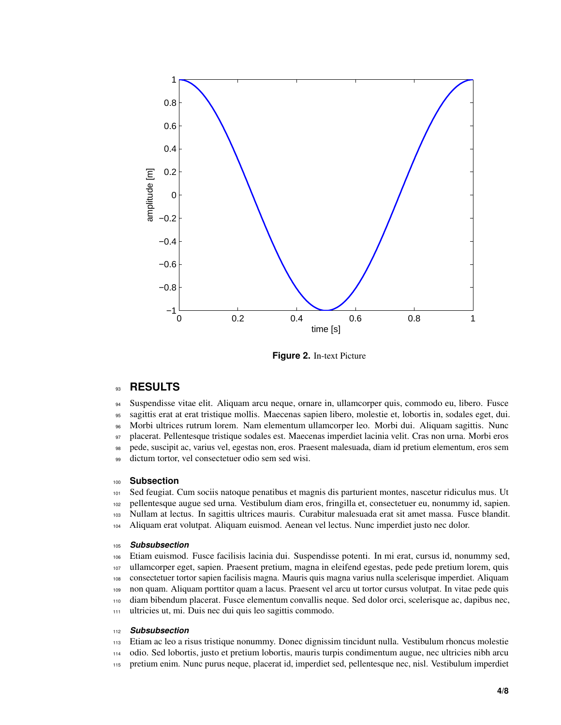

**Figure 2.** In-text Picture

# **RESULTS**

Suspendisse vitae elit. Aliquam arcu neque, ornare in, ullamcorper quis, commodo eu, libero. Fusce

sagittis erat at erat tristique mollis. Maecenas sapien libero, molestie et, lobortis in, sodales eget, dui.

Morbi ultrices rutrum lorem. Nam elementum ullamcorper leo. Morbi dui. Aliquam sagittis. Nunc

placerat. Pellentesque tristique sodales est. Maecenas imperdiet lacinia velit. Cras non urna. Morbi eros

pede, suscipit ac, varius vel, egestas non, eros. Praesent malesuada, diam id pretium elementum, eros sem

dictum tortor, vel consectetuer odio sem sed wisi.

#### **Subsection**

 Sed feugiat. Cum sociis natoque penatibus et magnis dis parturient montes, nascetur ridiculus mus. Ut pellentesque augue sed urna. Vestibulum diam eros, fringilla et, consectetuer eu, nonummy id, sapien. Nullam at lectus. In sagittis ultrices mauris. Curabitur malesuada erat sit amet massa. Fusce blandit.

Aliquam erat volutpat. Aliquam euismod. Aenean vel lectus. Nunc imperdiet justo nec dolor.

#### *Subsubsection*

 Etiam euismod. Fusce facilisis lacinia dui. Suspendisse potenti. In mi erat, cursus id, nonummy sed, ullamcorper eget, sapien. Praesent pretium, magna in eleifend egestas, pede pede pretium lorem, quis consectetuer tortor sapien facilisis magna. Mauris quis magna varius nulla scelerisque imperdiet. Aliquam non quam. Aliquam porttitor quam a lacus. Praesent vel arcu ut tortor cursus volutpat. In vitae pede quis diam bibendum placerat. Fusce elementum convallis neque. Sed dolor orci, scelerisque ac, dapibus nec, ultricies ut, mi. Duis nec dui quis leo sagittis commodo.

#### *Subsubsection*

Etiam ac leo a risus tristique nonummy. Donec dignissim tincidunt nulla. Vestibulum rhoncus molestie

odio. Sed lobortis, justo et pretium lobortis, mauris turpis condimentum augue, nec ultricies nibh arcu

pretium enim. Nunc purus neque, placerat id, imperdiet sed, pellentesque nec, nisl. Vestibulum imperdiet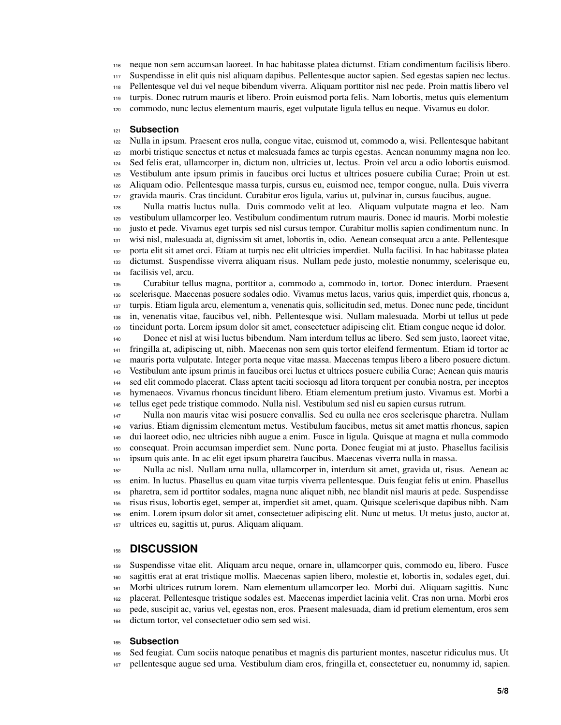neque non sem accumsan laoreet. In hac habitasse platea dictumst. Etiam condimentum facilisis libero.

Suspendisse in elit quis nisl aliquam dapibus. Pellentesque auctor sapien. Sed egestas sapien nec lectus.

Pellentesque vel dui vel neque bibendum viverra. Aliquam porttitor nisl nec pede. Proin mattis libero vel

turpis. Donec rutrum mauris et libero. Proin euismod porta felis. Nam lobortis, metus quis elementum

commodo, nunc lectus elementum mauris, eget vulputate ligula tellus eu neque. Vivamus eu dolor.

## **Subsection**

 Nulla in ipsum. Praesent eros nulla, congue vitae, euismod ut, commodo a, wisi. Pellentesque habitant morbi tristique senectus et netus et malesuada fames ac turpis egestas. Aenean nonummy magna non leo. Sed felis erat, ullamcorper in, dictum non, ultricies ut, lectus. Proin vel arcu a odio lobortis euismod. Vestibulum ante ipsum primis in faucibus orci luctus et ultrices posuere cubilia Curae; Proin ut est. Aliquam odio. Pellentesque massa turpis, cursus eu, euismod nec, tempor congue, nulla. Duis viverra gravida mauris. Cras tincidunt. Curabitur eros ligula, varius ut, pulvinar in, cursus faucibus, augue.

 Nulla mattis luctus nulla. Duis commodo velit at leo. Aliquam vulputate magna et leo. Nam vestibulum ullamcorper leo. Vestibulum condimentum rutrum mauris. Donec id mauris. Morbi molestie justo et pede. Vivamus eget turpis sed nisl cursus tempor. Curabitur mollis sapien condimentum nunc. In wisi nisl, malesuada at, dignissim sit amet, lobortis in, odio. Aenean consequat arcu a ante. Pellentesque porta elit sit amet orci. Etiam at turpis nec elit ultricies imperdiet. Nulla facilisi. In hac habitasse platea dictumst. Suspendisse viverra aliquam risus. Nullam pede justo, molestie nonummy, scelerisque eu, facilisis vel, arcu.

 Curabitur tellus magna, porttitor a, commodo a, commodo in, tortor. Donec interdum. Praesent scelerisque. Maecenas posuere sodales odio. Vivamus metus lacus, varius quis, imperdiet quis, rhoncus a, turpis. Etiam ligula arcu, elementum a, venenatis quis, sollicitudin sed, metus. Donec nunc pede, tincidunt in, venenatis vitae, faucibus vel, nibh. Pellentesque wisi. Nullam malesuada. Morbi ut tellus ut pede tincidunt porta. Lorem ipsum dolor sit amet, consectetuer adipiscing elit. Etiam congue neque id dolor.

 Donec et nisl at wisi luctus bibendum. Nam interdum tellus ac libero. Sed sem justo, laoreet vitae, fringilla at, adipiscing ut, nibh. Maecenas non sem quis tortor eleifend fermentum. Etiam id tortor ac mauris porta vulputate. Integer porta neque vitae massa. Maecenas tempus libero a libero posuere dictum. Vestibulum ante ipsum primis in faucibus orci luctus et ultrices posuere cubilia Curae; Aenean quis mauris sed elit commodo placerat. Class aptent taciti sociosqu ad litora torquent per conubia nostra, per inceptos hymenaeos. Vivamus rhoncus tincidunt libero. Etiam elementum pretium justo. Vivamus est. Morbi a tellus eget pede tristique commodo. Nulla nisl. Vestibulum sed nisl eu sapien cursus rutrum.

 Nulla non mauris vitae wisi posuere convallis. Sed eu nulla nec eros scelerisque pharetra. Nullam varius. Etiam dignissim elementum metus. Vestibulum faucibus, metus sit amet mattis rhoncus, sapien dui laoreet odio, nec ultricies nibh augue a enim. Fusce in ligula. Quisque at magna et nulla commodo consequat. Proin accumsan imperdiet sem. Nunc porta. Donec feugiat mi at justo. Phasellus facilisis ipsum quis ante. In ac elit eget ipsum pharetra faucibus. Maecenas viverra nulla in massa.

 Nulla ac nisl. Nullam urna nulla, ullamcorper in, interdum sit amet, gravida ut, risus. Aenean ac enim. In luctus. Phasellus eu quam vitae turpis viverra pellentesque. Duis feugiat felis ut enim. Phasellus pharetra, sem id porttitor sodales, magna nunc aliquet nibh, nec blandit nisl mauris at pede. Suspendisse risus risus, lobortis eget, semper at, imperdiet sit amet, quam. Quisque scelerisque dapibus nibh. Nam enim. Lorem ipsum dolor sit amet, consectetuer adipiscing elit. Nunc ut metus. Ut metus justo, auctor at, ultrices eu, sagittis ut, purus. Aliquam aliquam.

## **DISCUSSION**

 Suspendisse vitae elit. Aliquam arcu neque, ornare in, ullamcorper quis, commodo eu, libero. Fusce sagittis erat at erat tristique mollis. Maecenas sapien libero, molestie et, lobortis in, sodales eget, dui. Morbi ultrices rutrum lorem. Nam elementum ullamcorper leo. Morbi dui. Aliquam sagittis. Nunc placerat. Pellentesque tristique sodales est. Maecenas imperdiet lacinia velit. Cras non urna. Morbi eros pede, suscipit ac, varius vel, egestas non, eros. Praesent malesuada, diam id pretium elementum, eros sem dictum tortor, vel consectetuer odio sem sed wisi.

## **Subsection**

 Sed feugiat. Cum sociis natoque penatibus et magnis dis parturient montes, nascetur ridiculus mus. Ut pellentesque augue sed urna. Vestibulum diam eros, fringilla et, consectetuer eu, nonummy id, sapien.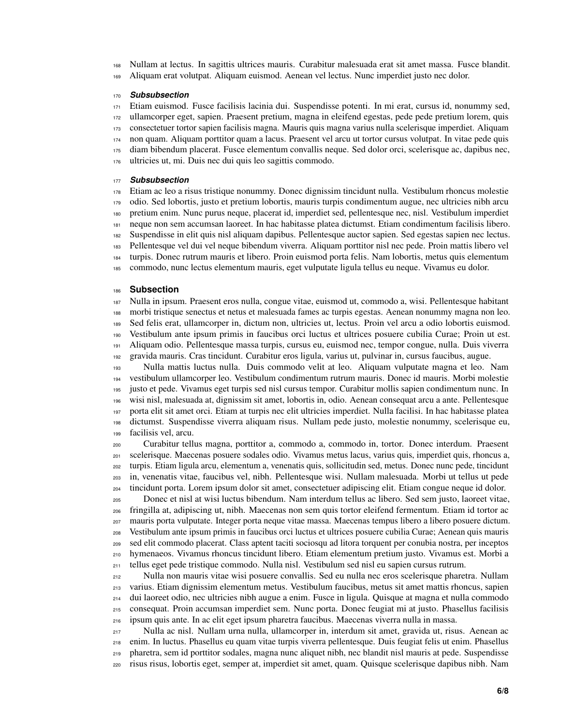Nullam at lectus. In sagittis ultrices mauris. Curabitur malesuada erat sit amet massa. Fusce blandit. Aliquam erat volutpat. Aliquam euismod. Aenean vel lectus. Nunc imperdiet justo nec dolor.

#### *Subsubsection*

 Etiam euismod. Fusce facilisis lacinia dui. Suspendisse potenti. In mi erat, cursus id, nonummy sed, ullamcorper eget, sapien. Praesent pretium, magna in eleifend egestas, pede pede pretium lorem, quis consectetuer tortor sapien facilisis magna. Mauris quis magna varius nulla scelerisque imperdiet. Aliquam non quam. Aliquam porttitor quam a lacus. Praesent vel arcu ut tortor cursus volutpat. In vitae pede quis diam bibendum placerat. Fusce elementum convallis neque. Sed dolor orci, scelerisque ac, dapibus nec, ultricies ut, mi. Duis nec dui quis leo sagittis commodo.

#### *Subsubsection*

 Etiam ac leo a risus tristique nonummy. Donec dignissim tincidunt nulla. Vestibulum rhoncus molestie odio. Sed lobortis, justo et pretium lobortis, mauris turpis condimentum augue, nec ultricies nibh arcu pretium enim. Nunc purus neque, placerat id, imperdiet sed, pellentesque nec, nisl. Vestibulum imperdiet neque non sem accumsan laoreet. In hac habitasse platea dictumst. Etiam condimentum facilisis libero. Suspendisse in elit quis nisl aliquam dapibus. Pellentesque auctor sapien. Sed egestas sapien nec lectus. Pellentesque vel dui vel neque bibendum viverra. Aliquam porttitor nisl nec pede. Proin mattis libero vel turpis. Donec rutrum mauris et libero. Proin euismod porta felis. Nam lobortis, metus quis elementum commodo, nunc lectus elementum mauris, eget vulputate ligula tellus eu neque. Vivamus eu dolor.

#### **Subsection**

 Nulla in ipsum. Praesent eros nulla, congue vitae, euismod ut, commodo a, wisi. Pellentesque habitant morbi tristique senectus et netus et malesuada fames ac turpis egestas. Aenean nonummy magna non leo. Sed felis erat, ullamcorper in, dictum non, ultricies ut, lectus. Proin vel arcu a odio lobortis euismod. Vestibulum ante ipsum primis in faucibus orci luctus et ultrices posuere cubilia Curae; Proin ut est. Aliquam odio. Pellentesque massa turpis, cursus eu, euismod nec, tempor congue, nulla. Duis viverra gravida mauris. Cras tincidunt. Curabitur eros ligula, varius ut, pulvinar in, cursus faucibus, augue.

 Nulla mattis luctus nulla. Duis commodo velit at leo. Aliquam vulputate magna et leo. Nam vestibulum ullamcorper leo. Vestibulum condimentum rutrum mauris. Donec id mauris. Morbi molestie justo et pede. Vivamus eget turpis sed nisl cursus tempor. Curabitur mollis sapien condimentum nunc. In wisi nisl, malesuada at, dignissim sit amet, lobortis in, odio. Aenean consequat arcu a ante. Pellentesque porta elit sit amet orci. Etiam at turpis nec elit ultricies imperdiet. Nulla facilisi. In hac habitasse platea dictumst. Suspendisse viverra aliquam risus. Nullam pede justo, molestie nonummy, scelerisque eu, facilisis vel, arcu.

 Curabitur tellus magna, porttitor a, commodo a, commodo in, tortor. Donec interdum. Praesent scelerisque. Maecenas posuere sodales odio. Vivamus metus lacus, varius quis, imperdiet quis, rhoncus a, turpis. Etiam ligula arcu, elementum a, venenatis quis, sollicitudin sed, metus. Donec nunc pede, tincidunt in, venenatis vitae, faucibus vel, nibh. Pellentesque wisi. Nullam malesuada. Morbi ut tellus ut pede tincidunt porta. Lorem ipsum dolor sit amet, consectetuer adipiscing elit. Etiam congue neque id dolor.

 Donec et nisl at wisi luctus bibendum. Nam interdum tellus ac libero. Sed sem justo, laoreet vitae, fringilla at, adipiscing ut, nibh. Maecenas non sem quis tortor eleifend fermentum. Etiam id tortor ac mauris porta vulputate. Integer porta neque vitae massa. Maecenas tempus libero a libero posuere dictum. Vestibulum ante ipsum primis in faucibus orci luctus et ultrices posuere cubilia Curae; Aenean quis mauris sed elit commodo placerat. Class aptent taciti sociosqu ad litora torquent per conubia nostra, per inceptos hymenaeos. Vivamus rhoncus tincidunt libero. Etiam elementum pretium justo. Vivamus est. Morbi a tellus eget pede tristique commodo. Nulla nisl. Vestibulum sed nisl eu sapien cursus rutrum.

 Nulla non mauris vitae wisi posuere convallis. Sed eu nulla nec eros scelerisque pharetra. Nullam varius. Etiam dignissim elementum metus. Vestibulum faucibus, metus sit amet mattis rhoncus, sapien dui laoreet odio, nec ultricies nibh augue a enim. Fusce in ligula. Quisque at magna et nulla commodo consequat. Proin accumsan imperdiet sem. Nunc porta. Donec feugiat mi at justo. Phasellus facilisis ipsum quis ante. In ac elit eget ipsum pharetra faucibus. Maecenas viverra nulla in massa.

 Nulla ac nisl. Nullam urna nulla, ullamcorper in, interdum sit amet, gravida ut, risus. Aenean ac enim. In luctus. Phasellus eu quam vitae turpis viverra pellentesque. Duis feugiat felis ut enim. Phasellus pharetra, sem id porttitor sodales, magna nunc aliquet nibh, nec blandit nisl mauris at pede. Suspendisse risus risus, lobortis eget, semper at, imperdiet sit amet, quam. Quisque scelerisque dapibus nibh. Nam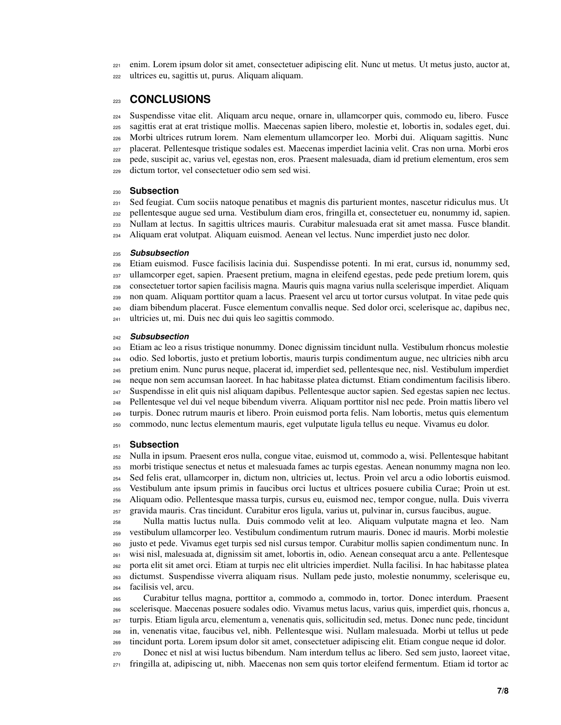enim. Lorem ipsum dolor sit amet, consectetuer adipiscing elit. Nunc ut metus. Ut metus justo, auctor at, ultrices eu, sagittis ut, purus. Aliquam aliquam.

# **CONCLUSIONS**

 Suspendisse vitae elit. Aliquam arcu neque, ornare in, ullamcorper quis, commodo eu, libero. Fusce sagittis erat at erat tristique mollis. Maecenas sapien libero, molestie et, lobortis in, sodales eget, dui. Morbi ultrices rutrum lorem. Nam elementum ullamcorper leo. Morbi dui. Aliquam sagittis. Nunc placerat. Pellentesque tristique sodales est. Maecenas imperdiet lacinia velit. Cras non urna. Morbi eros pede, suscipit ac, varius vel, egestas non, eros. Praesent malesuada, diam id pretium elementum, eros sem dictum tortor, vel consectetuer odio sem sed wisi.

## **Subsection**

 Sed feugiat. Cum sociis natoque penatibus et magnis dis parturient montes, nascetur ridiculus mus. Ut pellentesque augue sed urna. Vestibulum diam eros, fringilla et, consectetuer eu, nonummy id, sapien. Nullam at lectus. In sagittis ultrices mauris. Curabitur malesuada erat sit amet massa. Fusce blandit. Aliquam erat volutpat. Aliquam euismod. Aenean vel lectus. Nunc imperdiet justo nec dolor.

## *Subsubsection*

 Etiam euismod. Fusce facilisis lacinia dui. Suspendisse potenti. In mi erat, cursus id, nonummy sed, ullamcorper eget, sapien. Praesent pretium, magna in eleifend egestas, pede pede pretium lorem, quis consectetuer tortor sapien facilisis magna. Mauris quis magna varius nulla scelerisque imperdiet. Aliquam non quam. Aliquam porttitor quam a lacus. Praesent vel arcu ut tortor cursus volutpat. In vitae pede quis diam bibendum placerat. Fusce elementum convallis neque. Sed dolor orci, scelerisque ac, dapibus nec, ultricies ut, mi. Duis nec dui quis leo sagittis commodo.

#### *Subsubsection*

 Etiam ac leo a risus tristique nonummy. Donec dignissim tincidunt nulla. Vestibulum rhoncus molestie odio. Sed lobortis, justo et pretium lobortis, mauris turpis condimentum augue, nec ultricies nibh arcu pretium enim. Nunc purus neque, placerat id, imperdiet sed, pellentesque nec, nisl. Vestibulum imperdiet neque non sem accumsan laoreet. In hac habitasse platea dictumst. Etiam condimentum facilisis libero. Suspendisse in elit quis nisl aliquam dapibus. Pellentesque auctor sapien. Sed egestas sapien nec lectus. Pellentesque vel dui vel neque bibendum viverra. Aliquam porttitor nisl nec pede. Proin mattis libero vel turpis. Donec rutrum mauris et libero. Proin euismod porta felis. Nam lobortis, metus quis elementum commodo, nunc lectus elementum mauris, eget vulputate ligula tellus eu neque. Vivamus eu dolor.

## **Subsection**

 Nulla in ipsum. Praesent eros nulla, congue vitae, euismod ut, commodo a, wisi. Pellentesque habitant morbi tristique senectus et netus et malesuada fames ac turpis egestas. Aenean nonummy magna non leo. Sed felis erat, ullamcorper in, dictum non, ultricies ut, lectus. Proin vel arcu a odio lobortis euismod. Vestibulum ante ipsum primis in faucibus orci luctus et ultrices posuere cubilia Curae; Proin ut est. Aliquam odio. Pellentesque massa turpis, cursus eu, euismod nec, tempor congue, nulla. Duis viverra gravida mauris. Cras tincidunt. Curabitur eros ligula, varius ut, pulvinar in, cursus faucibus, augue.

 Nulla mattis luctus nulla. Duis commodo velit at leo. Aliquam vulputate magna et leo. Nam vestibulum ullamcorper leo. Vestibulum condimentum rutrum mauris. Donec id mauris. Morbi molestie justo et pede. Vivamus eget turpis sed nisl cursus tempor. Curabitur mollis sapien condimentum nunc. In wisi nisl, malesuada at, dignissim sit amet, lobortis in, odio. Aenean consequat arcu a ante. Pellentesque porta elit sit amet orci. Etiam at turpis nec elit ultricies imperdiet. Nulla facilisi. In hac habitasse platea dictumst. Suspendisse viverra aliquam risus. Nullam pede justo, molestie nonummy, scelerisque eu, facilisis vel, arcu.

 Curabitur tellus magna, porttitor a, commodo a, commodo in, tortor. Donec interdum. Praesent scelerisque. Maecenas posuere sodales odio. Vivamus metus lacus, varius quis, imperdiet quis, rhoncus a, turpis. Etiam ligula arcu, elementum a, venenatis quis, sollicitudin sed, metus. Donec nunc pede, tincidunt in, venenatis vitae, faucibus vel, nibh. Pellentesque wisi. Nullam malesuada. Morbi ut tellus ut pede tincidunt porta. Lorem ipsum dolor sit amet, consectetuer adipiscing elit. Etiam congue neque id dolor.

 Donec et nisl at wisi luctus bibendum. Nam interdum tellus ac libero. Sed sem justo, laoreet vitae, fringilla at, adipiscing ut, nibh. Maecenas non sem quis tortor eleifend fermentum. Etiam id tortor ac